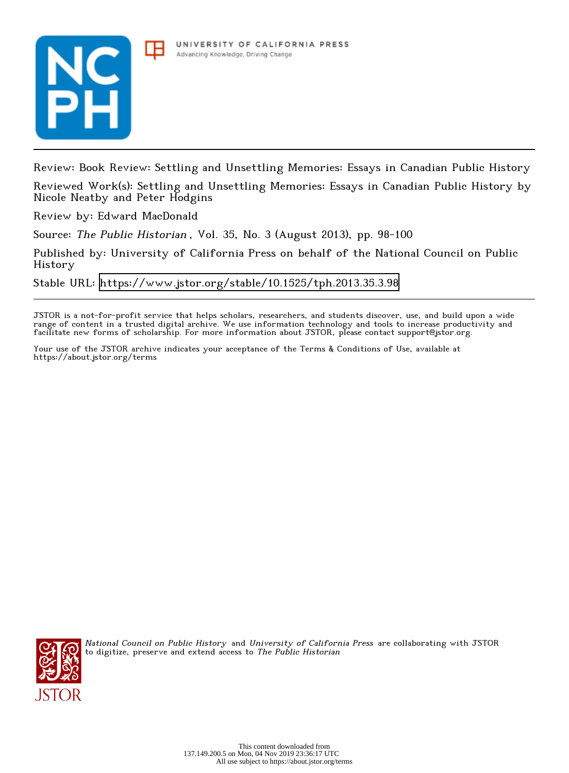



Review: Book Review: Settling and Unsettling Memories: Essays in Canadian Public History

Reviewed Work(s): Settling and Unsettling Memories: Essays in Canadian Public History by Nicole Neatby and Peter Hodgins

Review by: Edward MacDonald

Source: The Public Historian , Vol. 35, No. 3 (August 2013), pp. 98-100

Published by: University of California Press on behalf of the National Council on Public History

Stable URL:<https://www.jstor.org/stable/10.1525/tph.2013.35.3.98>

JSTOR is a not-for-profit service that helps scholars, researchers, and students discover, use, and build upon a wide range of content in a trusted digital archive. We use information technology and tools to increase productivity and facilitate new forms of scholarship. For more information about JSTOR, please contact support@jstor.org.

Your use of the JSTOR archive indicates your acceptance of the Terms & Conditions of Use, available at https://about.jstor.org/terms



National Council on Public History and University of California Press are collaborating with JSTOR to digitize, preserve and extend access to The Public Historian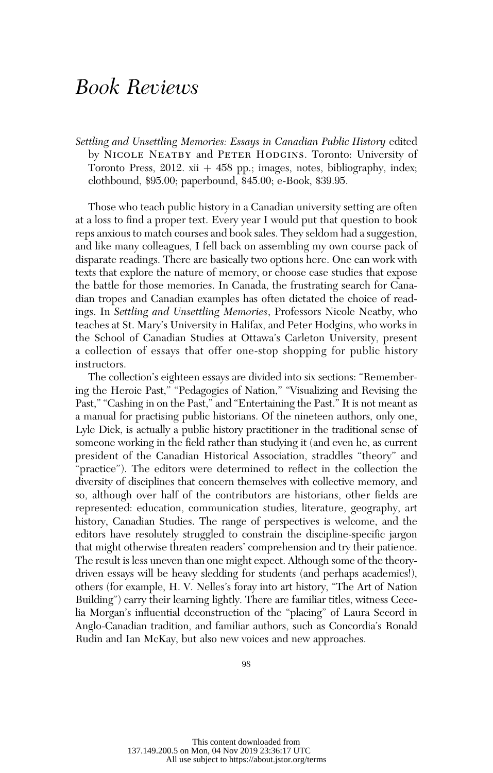## Book Reviews

Settling and Unsettling Memories: Essays in Canadian Public History edited by NICOLE NEATBY and PETER HODGINS. Toronto: University of Toronto Press,  $2012$ . xii  $+458$  pp.; images, notes, bibliography, index; clothbound, \$95.00; paperbound, \$45.00; e-Book, \$39.95.

Those who teach public history in a Canadian university setting are often at a loss to find a proper text. Every year I would put that question to book reps anxious to match courses and book sales. They seldom had a suggestion, and like many colleagues, I fell back on assembling my own course pack of disparate readings. There are basically two options here. One can work with texts that explore the nature of memory, or choose case studies that expose the battle for those memories. In Canada, the frustrating search for Canadian tropes and Canadian examples has often dictated the choice of readings. In Settling and Unsettling Memories, Professors Nicole Neatby, who teaches at St. Mary's University in Halifax, and Peter Hodgins, who works in the School of Canadian Studies at Ottawa's Carleton University, present a collection of essays that offer one-stop shopping for public history instructors.

The collection's eighteen essays are divided into six sections: ''Remembering the Heroic Past," "Pedagogies of Nation," "Visualizing and Revising the Past," "Cashing in on the Past," and "Entertaining the Past." It is not meant as a manual for practising public historians. Of the nineteen authors, only one, Lyle Dick, is actually a public history practitioner in the traditional sense of someone working in the field rather than studying it (and even he, as current president of the Canadian Historical Association, straddles ''theory'' and "practice"). The editors were determined to reflect in the collection the diversity of disciplines that concern themselves with collective memory, and so, although over half of the contributors are historians, other fields are represented: education, communication studies, literature, geography, art history, Canadian Studies. The range of perspectives is welcome, and the editors have resolutely struggled to constrain the discipline-specific jargon that might otherwise threaten readers' comprehension and try their patience. The result is less uneven than one might expect. Although some of the theorydriven essays will be heavy sledding for students (and perhaps academics!), others (for example, H. V. Nelles's foray into art history, ''The Art of Nation Building'') carry their learning lightly. There are familiar titles, witness Cecelia Morgan's influential deconstruction of the ''placing'' of Laura Secord in Anglo-Canadian tradition, and familiar authors, such as Concordia's Ronald Rudin and Ian McKay, but also new voices and new approaches.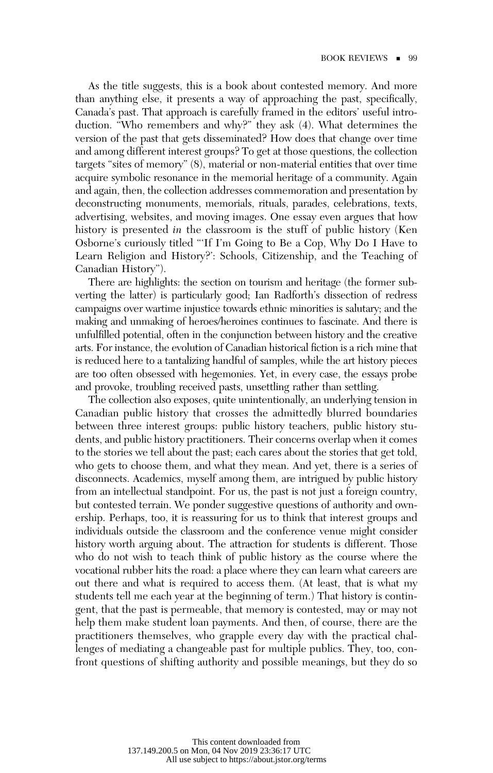As the title suggests, this is a book about contested memory. And more than anything else, it presents a way of approaching the past, specifically, Canada's past. That approach is carefully framed in the editors' useful introduction. "Who remembers and why?" they ask (4). What determines the version of the past that gets disseminated? How does that change over time and among different interest groups? To get at those questions, the collection targets "sites of memory" (8), material or non-material entities that over time acquire symbolic resonance in the memorial heritage of a community. Again and again, then, the collection addresses commemoration and presentation by deconstructing monuments, memorials, rituals, parades, celebrations, texts, advertising, websites, and moving images. One essay even argues that how history is presented in the classroom is the stuff of public history (Ken Osborne's curiously titled '''If I'm Going to Be a Cop, Why Do I Have to Learn Religion and History?': Schools, Citizenship, and the Teaching of Canadian History'').

There are highlights: the section on tourism and heritage (the former subverting the latter) is particularly good; Ian Radforth's dissection of redress campaigns over wartime injustice towards ethnic minorities is salutary; and the making and unmaking of heroes/heroines continues to fascinate. And there is unfulfilled potential, often in the conjunction between history and the creative arts. For instance, the evolution of Canadian historical fiction is a rich mine that is reduced here to a tantalizing handful of samples, while the art history pieces are too often obsessed with hegemonies. Yet, in every case, the essays probe and provoke, troubling received pasts, unsettling rather than settling.

The collection also exposes, quite unintentionally, an underlying tension in Canadian public history that crosses the admittedly blurred boundaries between three interest groups: public history teachers, public history students, and public history practitioners. Their concerns overlap when it comes to the stories we tell about the past; each cares about the stories that get told, who gets to choose them, and what they mean. And yet, there is a series of disconnects. Academics, myself among them, are intrigued by public history from an intellectual standpoint. For us, the past is not just a foreign country, but contested terrain. We ponder suggestive questions of authority and ownership. Perhaps, too, it is reassuring for us to think that interest groups and individuals outside the classroom and the conference venue might consider history worth arguing about. The attraction for students is different. Those who do not wish to teach think of public history as the course where the vocational rubber hits the road: a place where they can learn what careers are out there and what is required to access them. (At least, that is what my students tell me each year at the beginning of term.) That history is contingent, that the past is permeable, that memory is contested, may or may not help them make student loan payments. And then, of course, there are the practitioners themselves, who grapple every day with the practical challenges of mediating a changeable past for multiple publics. They, too, confront questions of shifting authority and possible meanings, but they do so